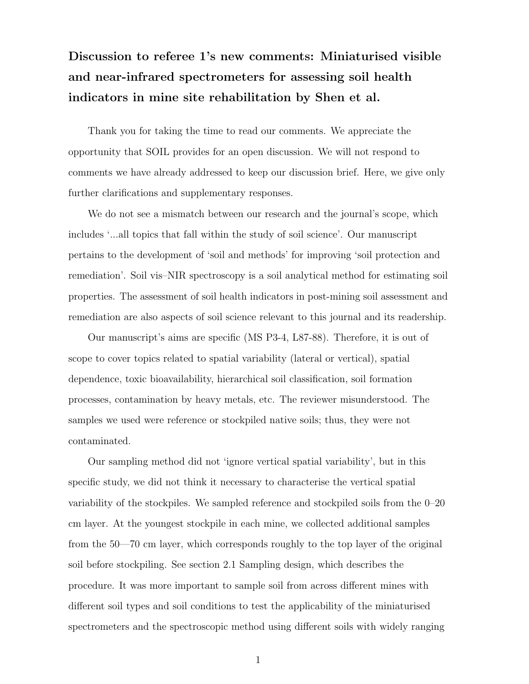## Discussion to referee 1's new comments: Miniaturised visible and near-infrared spectrometers for assessing soil health indicators in mine site rehabilitation by Shen et al.

Thank you for taking the time to read our comments. We appreciate the opportunity that SOIL provides for an open discussion. We will not respond to comments we have already addressed to keep our discussion brief. Here, we give only further clarifications and supplementary responses.

We do not see a mismatch between our research and the journal's scope, which includes '...all topics that fall within the study of soil science'. Our manuscript pertains to the development of 'soil and methods' for improving 'soil protection and remediation'. Soil vis–NIR spectroscopy is a soil analytical method for estimating soil properties. The assessment of soil health indicators in post-mining soil assessment and remediation are also aspects of soil science relevant to this journal and its readership.

Our manuscript's aims are specific (MS P3-4, L87-88). Therefore, it is out of scope to cover topics related to spatial variability (lateral or vertical), spatial dependence, toxic bioavailability, hierarchical soil classification, soil formation processes, contamination by heavy metals, etc. The reviewer misunderstood. The samples we used were reference or stockpiled native soils; thus, they were not contaminated.

Our sampling method did not 'ignore vertical spatial variability', but in this specific study, we did not think it necessary to characterise the vertical spatial variability of the stockpiles. We sampled reference and stockpiled soils from the 0–20 cm layer. At the youngest stockpile in each mine, we collected additional samples from the 50—70 cm layer, which corresponds roughly to the top layer of the original soil before stockpiling. See section 2.1 Sampling design, which describes the procedure. It was more important to sample soil from across different mines with different soil types and soil conditions to test the applicability of the miniaturised spectrometers and the spectroscopic method using different soils with widely ranging

1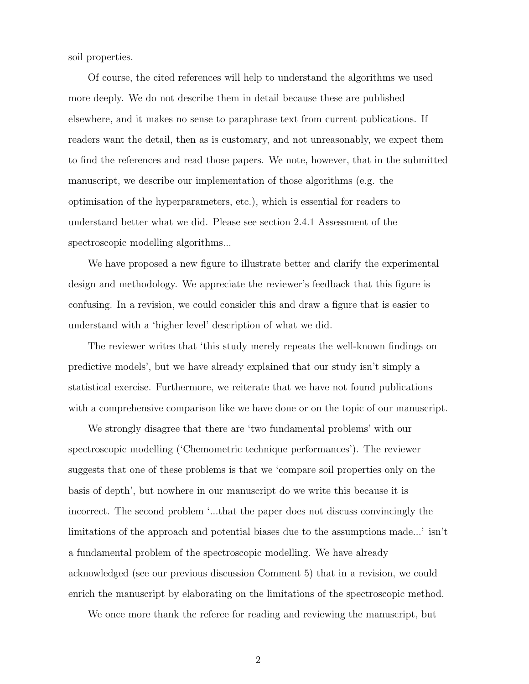soil properties.

Of course, the cited references will help to understand the algorithms we used more deeply. We do not describe them in detail because these are published elsewhere, and it makes no sense to paraphrase text from current publications. If readers want the detail, then as is customary, and not unreasonably, we expect them to find the references and read those papers. We note, however, that in the submitted manuscript, we describe our implementation of those algorithms (e.g. the optimisation of the hyperparameters, etc.), which is essential for readers to understand better what we did. Please see section 2.4.1 Assessment of the spectroscopic modelling algorithms...

We have proposed a new figure to illustrate better and clarify the experimental design and methodology. We appreciate the reviewer's feedback that this figure is confusing. In a revision, we could consider this and draw a figure that is easier to understand with a 'higher level' description of what we did.

The reviewer writes that 'this study merely repeats the well-known findings on predictive models', but we have already explained that our study isn't simply a statistical exercise. Furthermore, we reiterate that we have not found publications with a comprehensive comparison like we have done or on the topic of our manuscript.

We strongly disagree that there are 'two fundamental problems' with our spectroscopic modelling ('Chemometric technique performances'). The reviewer suggests that one of these problems is that we 'compare soil properties only on the basis of depth', but nowhere in our manuscript do we write this because it is incorrect. The second problem '...that the paper does not discuss convincingly the limitations of the approach and potential biases due to the assumptions made...' isn't a fundamental problem of the spectroscopic modelling. We have already acknowledged (see our previous discussion Comment 5) that in a revision, we could enrich the manuscript by elaborating on the limitations of the spectroscopic method.

We once more thank the referee for reading and reviewing the manuscript, but

2